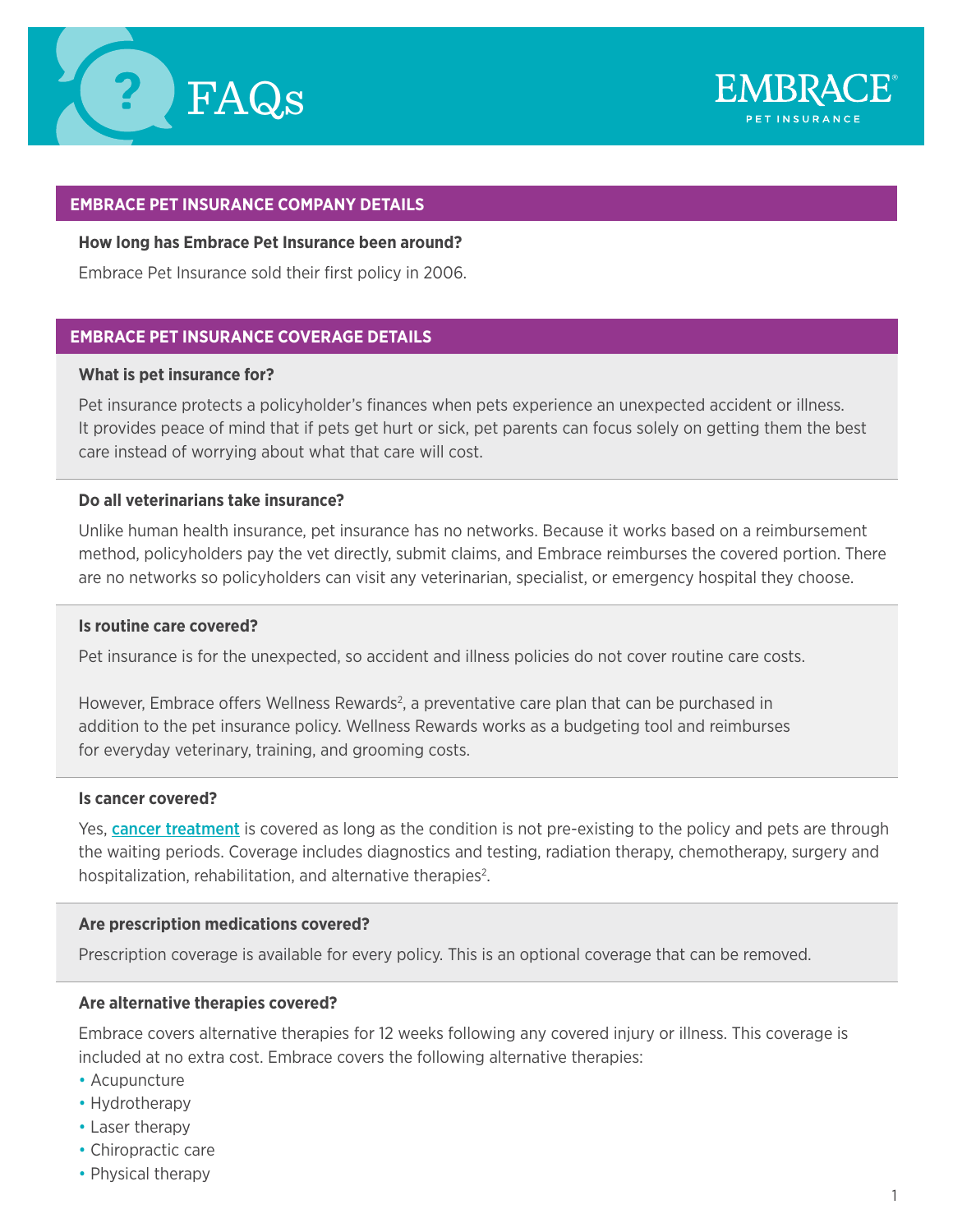



## **EMBRACE PET INSURANCE COMPANY DETAILS**

### **How long has Embrace Pet Insurance been around?**

Embrace Pet Insurance sold their first policy in 2006.

# **EMBRACE PET INSURANCE COVERAGE DETAILS**

#### **What is pet insurance for?**

Pet insurance protects a policyholder's finances when pets experience an unexpected accident or illness. It provides peace of mind that if pets get hurt or sick, pet parents can focus solely on getting them the best care instead of worrying about what that care will cost.

## **Do all veterinarians take insurance?**

Unlike human health insurance, pet insurance has no networks. Because it works based on a reimbursement method, policyholders pay the vet directly, submit claims, and Embrace reimburses the covered portion. There are no networks so policyholders can visit any veterinarian, specialist, or emergency hospital they choose.

#### **Is routine care covered?**

Pet insurance is for the unexpected, so accident and illness policies do not cover routine care costs.

However, Embrace offers Wellness Rewards<sup>2</sup>, a preventative care plan that can be purchased in addition to the pet insurance policy. Wellness Rewards works as a budgeting tool and reimburses for everyday veterinary, training, and grooming costs.

### **Is cancer covered?**

Yes, **[cancer treatment](https://www.embracepetinsurance.com/coverage/pet-insurance-plan/cancer)** is covered as long as the condition is not pre-existing to the policy and pets are through the waiting periods. Coverage includes diagnostics and testing, radiation therapy, chemotherapy, surgery and hospitalization, rehabilitation, and alternative therapies<sup>2</sup>.

### **Are prescription medications covered?**

Prescription coverage is available for every policy. This is an optional coverage that can be removed.

## **Are alternative therapies covered?**

Embrace covers alternative therapies for 12 weeks following any covered injury or illness. This coverage is included at no extra cost. Embrace covers the following alternative therapies:

- Acupuncture
- Hydrotherapy
- Laser therapy
- Chiropractic care
- Physical therapy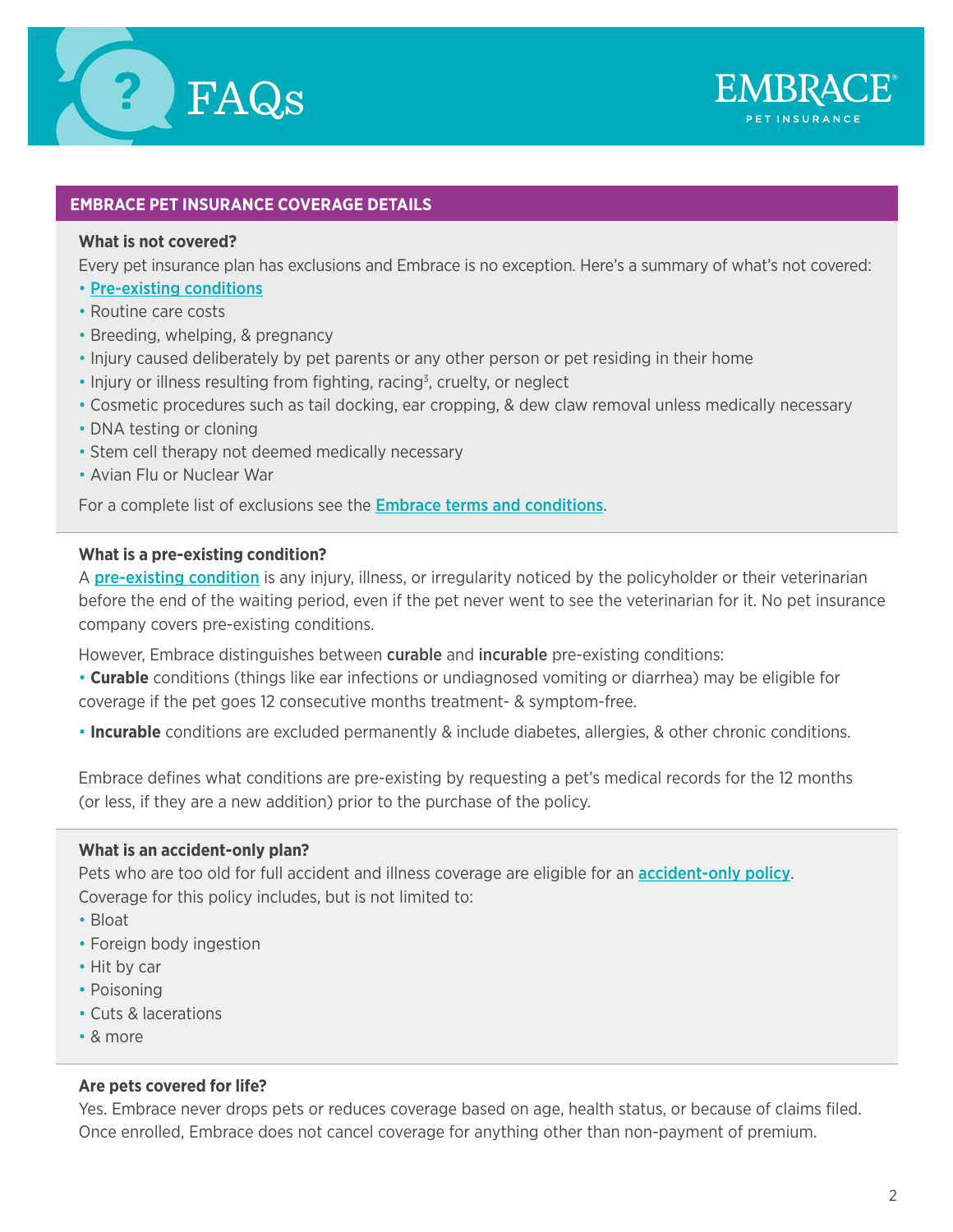



# **EMBRACE PET INSURANCE COVERAGE DETAILS**

### **What is not covered?**

Every pet insurance plan has exclusions and Embrace is no exception. Here's a summary of what's not covered:

- [Pre-existing conditions](https://www.embracepetinsurance.com/coverage/pet-insurance-plan/pre-ex-conditions)
- Routine care costs
- Breeding, whelping, & pregnancy
- Injury caused deliberately by pet parents or any other person or pet residing in their home
- $\cdot$  Injury or illness resulting from fighting, racing<sup>3</sup>, cruelty, or neglect
- Cosmetic procedures such as tail docking, ear cropping, & dew claw removal unless medically necessary
- DNA testing or cloning
- Stem cell therapy not deemed medically necessary
- Avian Flu or Nuclear War

For a complete list of exclusions see the **[Embrace terms and conditions](https://www.embracepetinsurance.com/coverage/pet-insurance-plan/embrace-terms)**.

### **What is a pre-existing condition?**

A [pre-existing condition](https://www.embracepetinsurance.com/coverage/pet-insurance-plan/pre-ex-conditions) is any injury, illness, or irregularity noticed by the policyholder or their veterinarian before the end of the waiting period, even if the pet never went to see the veterinarian for it. No pet insurance company covers pre-existing conditions.

However, Embrace distinguishes between **curable** and **incurable** pre-existing conditions:

• **Curable** conditions (things like ear infections or undiagnosed vomiting or diarrhea) may be eligible for coverage if the pet goes 12 consecutive months treatment- & symptom-free.

• **Incurable** conditions are excluded permanently & include diabetes, allergies, & other chronic conditions.

Embrace defines what conditions are pre-existing by requesting a pet's medical records for the 12 months (or less, if they are a new addition) prior to the purchase of the policy.

### **What is an accident-only plan?**

Pets who are too old for full accident and illness coverage are eligible for an **[accident-only policy](https://www.embracepetinsurance.com/coverage/pet-insurance-plan/accident-plan)**. Coverage for this policy includes, but is not limited to:

- Bloat
- Foreign body ingestion
- Hit by car
- Poisoning
- Cuts & lacerations
- & more

## **Are pets covered for life?**

Yes. Embrace never drops pets or reduces coverage based on age, health status, or because of claims filed. Once enrolled, Embrace does not cancel coverage for anything other than non-payment of premium.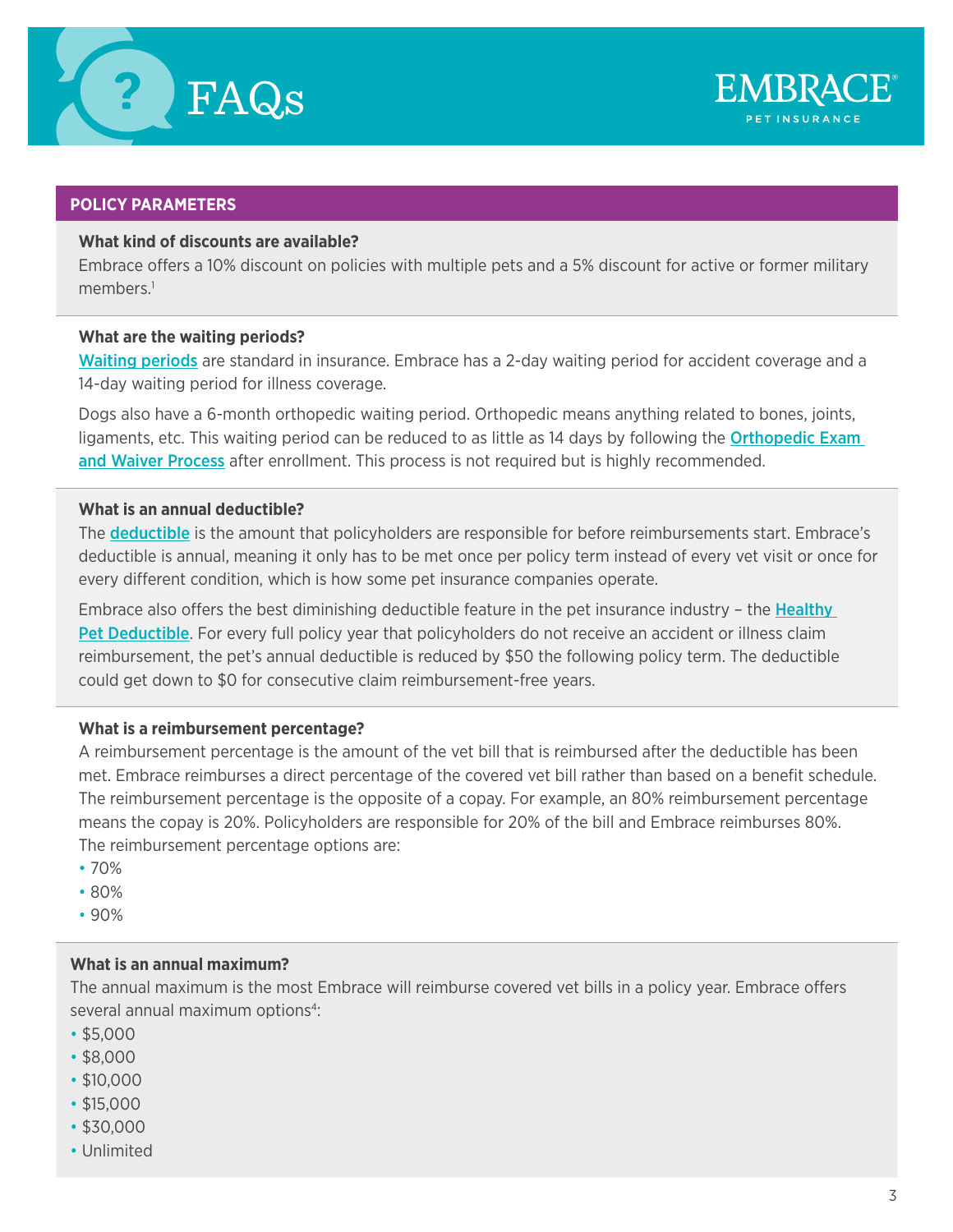



# **POLICY PARAMETERS**

## **What kind of discounts are available?**

Embrace offers a 10% discount on policies with multiple pets and a 5% discount for active or former military members $1$ 

## **What are the waiting periods?**

[Waiting periods](https://www.embracepetinsurance.com/coverage/pet-insurance-plan/waiting-period) are standard in insurance. Embrace has a 2-day waiting period for accident coverage and a 14-day waiting period for illness coverage.

Dogs also have a 6-month orthopedic waiting period. Orthopedic means anything related to bones, joints, ligaments, etc. This waiting period can be reduced to as little as 14 days by following the **Orthopedic Exam** [and Waiver Process](https://www.embracepetinsurance.com/coverage/pet-insurance-plan/waiting-period#ortho) after enrollment. This process is not required but is highly recommended.

# **What is an annual deductible?**

The **[deductible](https://www.embracepetinsurance.com/research/pet-insurance-deductible-guide)** is the amount that policyholders are responsible for before reimbursements start. Embrace's deductible is annual, meaning it only has to be met once per policy term instead of every vet visit or once for every different condition, which is how some pet insurance companies operate.

Embrace also offers the best diminishing deductible feature in the pet insurance industry - the Healthy [Pet Deductible](https://www.embracepetinsurance.com/coverage/pet-insurance-plan/healthy-pet-deductible). For every full policy year that policyholders do not receive an accident or illness claim reimbursement, the pet's annual deductible is reduced by \$50 the following policy term. The deductible could get down to \$0 for consecutive claim reimbursement-free years.

# **What is a reimbursement percentage?**

A reimbursement percentage is the amount of the vet bill that is reimbursed after the deductible has been met. Embrace reimburses a direct percentage of the covered vet bill rather than based on a benefit schedule. The reimbursement percentage is the opposite of a copay. For example, an 80% reimbursement percentage means the copay is 20%. Policyholders are responsible for 20% of the bill and Embrace reimburses 80%. The reimbursement percentage options are:

- 70%
- 80%
- 90%

# **What is an annual maximum?**

The annual maximum is the most Embrace will reimburse covered vet bills in a policy year. Embrace offers several annual maximum options<sup>4</sup>:

- \$5,000
- \$8,000
- \$10,000
- \$15,000
- \$30,000
- Unlimited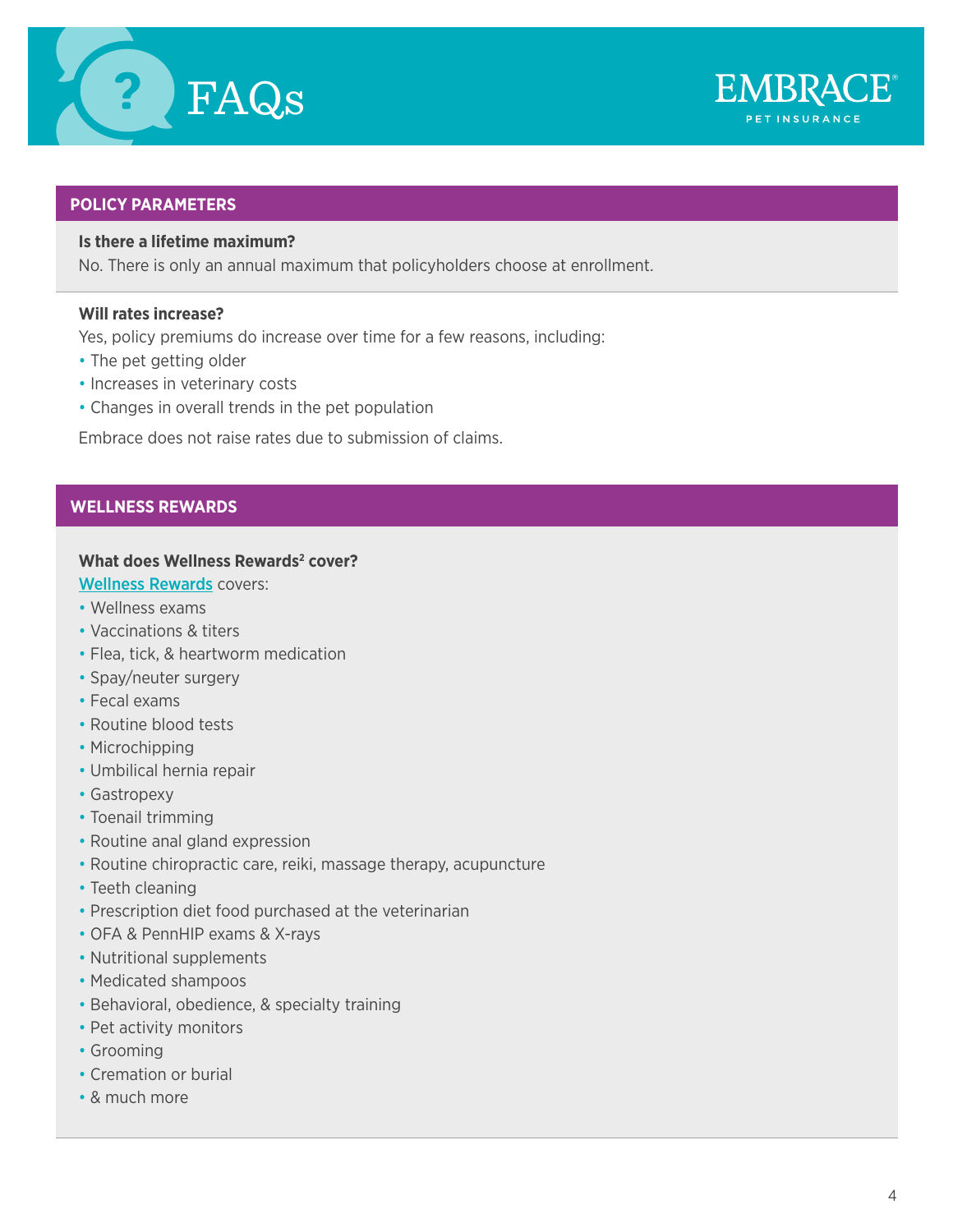



# **POLICY PARAMETERS**

# **Is there a lifetime maximum?**

No. There is only an annual maximum that policyholders choose at enrollment.

# **Will rates increase?**

Yes, policy premiums do increase over time for a few reasons, including:

- The pet getting older
- Increases in veterinary costs
- Changes in overall trends in the pet population

Embrace does not raise rates due to submission of claims.

# **WELLNESS REWARDS**

## **What does Wellness Rewards<sup>2</sup> cover?**

- [Wellness Rewards](https://www.embracepetinsurance.com/coverage/wellness-rewards) covers:
- Wellness exams
- Vaccinations & titers
- Flea, tick, & heartworm medication
- Spay/neuter surgery
- Fecal exams
- Routine blood tests
- Microchipping
- Umbilical hernia repair
- Gastropexy
- Toenail trimming
- Routine anal gland expression
- Routine chiropractic care, reiki, massage therapy, acupuncture
- Teeth cleaning
- Prescription diet food purchased at the veterinarian
- OFA & PennHIP exams & X-rays
- Nutritional supplements
- Medicated shampoos
- Behavioral, obedience, & specialty training
- Pet activity monitors
- Grooming
- Cremation or burial
- & much more